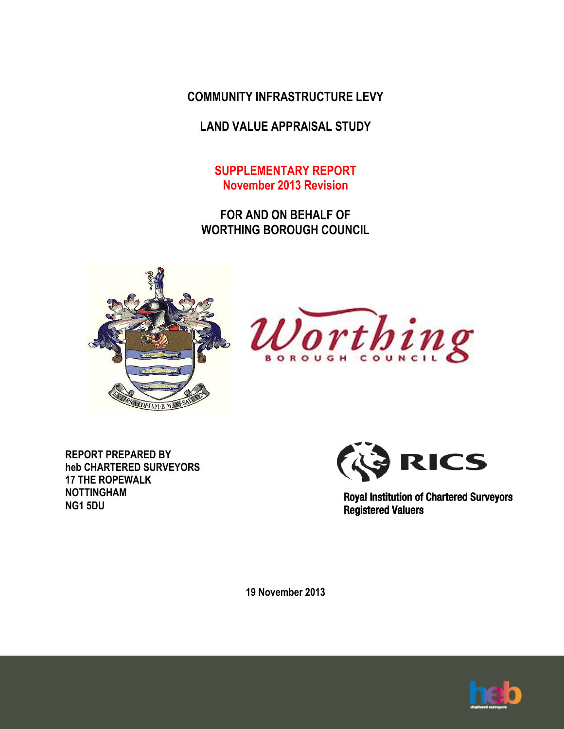**COMMUNITY INFRASTRUCTURE LEVY**

**LAND VALUE APPRAISAL STUDY**

**SUPPLEMENTARY REPORT November 2013 Revision**

**FOR AND ON BEHALF OF WORTHING BOROUGH COUNCIL**





**REPORT PREPARED BY heb CHARTERED SURVEYORS 17 THE ROPEWALK NOTTINGHAM NG1 5DU**



Royal Institution of Chartered Surveyors Registered Valuers

**19 November 2013**

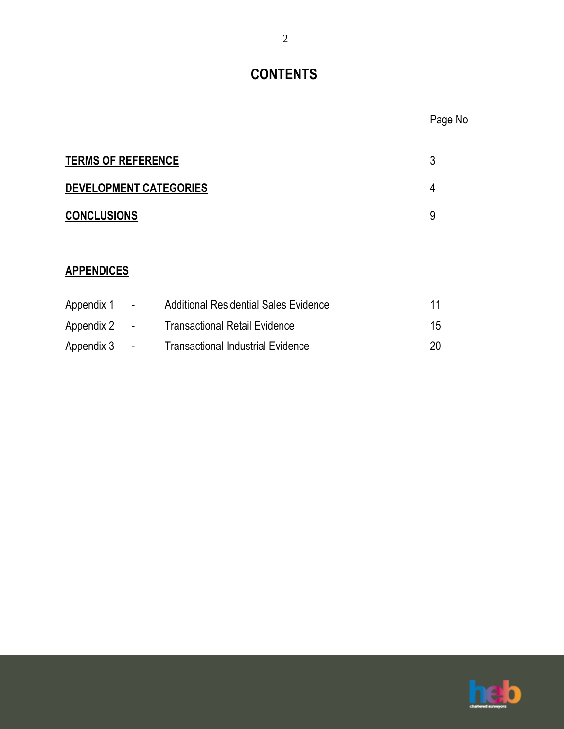# **CONTENTS**

| <b>TERMS OF REFERENCE</b> |  |
|---------------------------|--|
| DEVELOPMENT CATEGORIES    |  |
| <b>CONCLUSIONS</b>        |  |

# **APPENDICES**

| Appendix 1   | $\sim$ 10 $\pm$ | <b>Additional Residential Sales Evidence</b> | 11 |
|--------------|-----------------|----------------------------------------------|----|
| Appendix 2 - |                 | <b>Transactional Retail Evidence</b>         | 15 |
| Appendix 3   | $\sim$          | <b>Transactional Industrial Evidence</b>     | 20 |

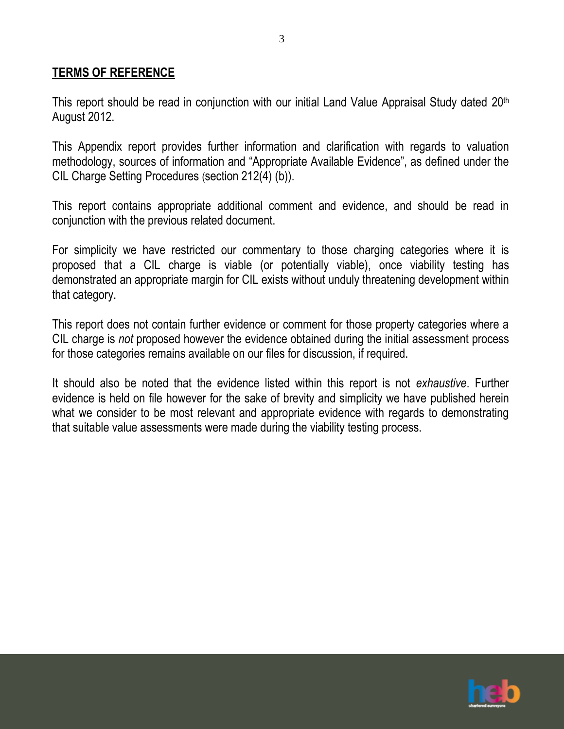#### **TERMS OF REFERENCE**

This report should be read in conjunction with our initial Land Value Appraisal Study dated 20<sup>th</sup> August 2012.

3

This Appendix report provides further information and clarification with regards to valuation methodology, sources of information and "Appropriate Available Evidence", as defined under the CIL Charge Setting Procedures (section 212(4) (b)).

This report contains appropriate additional comment and evidence, and should be read in conjunction with the previous related document.

For simplicity we have restricted our commentary to those charging categories where it is proposed that a CIL charge is viable (or potentially viable), once viability testing has demonstrated an appropriate margin for CIL exists without unduly threatening development within that category.

This report does not contain further evidence or comment for those property categories where a CIL charge is *not* proposed however the evidence obtained during the initial assessment process for those categories remains available on our files for discussion, if required.

It should also be noted that the evidence listed within this report is not *exhaustive*. Further evidence is held on file however for the sake of brevity and simplicity we have published herein what we consider to be most relevant and appropriate evidence with regards to demonstrating that suitable value assessments were made during the viability testing process.

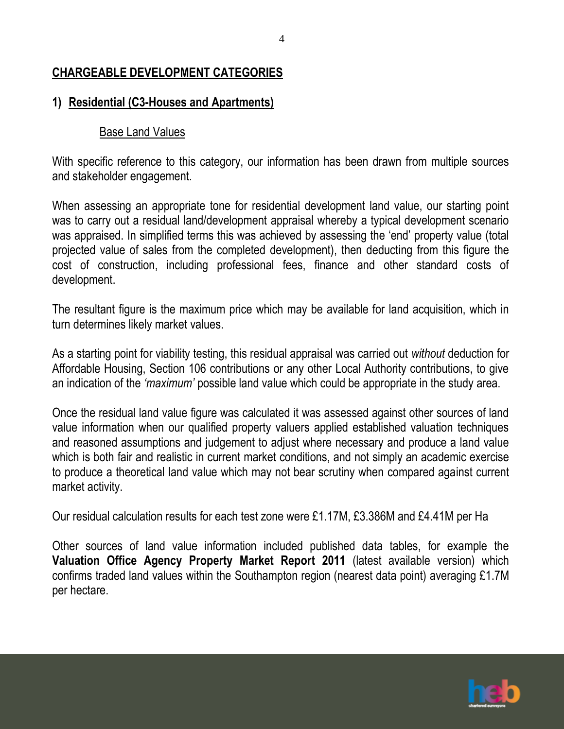### **CHARGEABLE DEVELOPMENT CATEGORIES**

### **1) Residential (C3-Houses and Apartments)**

### Base Land Values

With specific reference to this category, our information has been drawn from multiple sources and stakeholder engagement.

When assessing an appropriate tone for residential development land value, our starting point was to carry out a residual land/development appraisal whereby a typical development scenario was appraised. In simplified terms this was achieved by assessing the 'end' property value (total projected value of sales from the completed development), then deducting from this figure the cost of construction, including professional fees, finance and other standard costs of development.

The resultant figure is the maximum price which may be available for land acquisition, which in turn determines likely market values.

As a starting point for viability testing, this residual appraisal was carried out *without* deduction for Affordable Housing, Section 106 contributions or any other Local Authority contributions, to give an indication of the *'maximum'* possible land value which could be appropriate in the study area.

Once the residual land value figure was calculated it was assessed against other sources of land value information when our qualified property valuers applied established valuation techniques and reasoned assumptions and judgement to adjust where necessary and produce a land value which is both fair and realistic in current market conditions, and not simply an academic exercise to produce a theoretical land value which may not bear scrutiny when compared against current market activity.

Our residual calculation results for each test zone were £1.17M, £3.386M and £4.41M per Ha

Other sources of land value information included published data tables, for example the **Valuation Office Agency Property Market Report 2011** (latest available version) which confirms traded land values within the Southampton region (nearest data point) averaging £1.7M per hectare.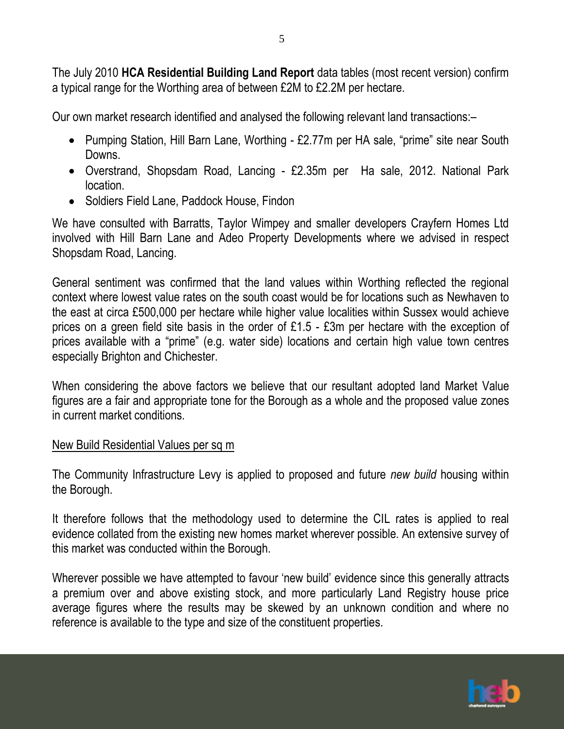The July 2010 **HCA Residential Building Land Report** data tables (most recent version) confirm a typical range for the Worthing area of between £2M to £2.2M per hectare.

Our own market research identified and analysed the following relevant land transactions:–

- Pumping Station, Hill Barn Lane, Worthing £2.77m per HA sale, "prime" site near South Downs.
- Overstrand, Shopsdam Road, Lancing £2.35m per Ha sale, 2012. National Park location.
- Soldiers Field Lane, Paddock House, Findon

We have consulted with Barratts, Taylor Wimpey and smaller developers Crayfern Homes Ltd involved with Hill Barn Lane and Adeo Property Developments where we advised in respect Shopsdam Road, Lancing.

General sentiment was confirmed that the land values within Worthing reflected the regional context where lowest value rates on the south coast would be for locations such as Newhaven to the east at circa £500,000 per hectare while higher value localities within Sussex would achieve prices on a green field site basis in the order of £1.5 - £3m per hectare with the exception of prices available with a "prime" (e.g. water side) locations and certain high value town centres especially Brighton and Chichester.

When considering the above factors we believe that our resultant adopted land Market Value figures are a fair and appropriate tone for the Borough as a whole and the proposed value zones in current market conditions.

## New Build Residential Values per sq m

The Community Infrastructure Levy is applied to proposed and future *new build* housing within the Borough.

It therefore follows that the methodology used to determine the CIL rates is applied to real evidence collated from the existing new homes market wherever possible. An extensive survey of this market was conducted within the Borough.

Wherever possible we have attempted to favour 'new build' evidence since this generally attracts a premium over and above existing stock, and more particularly Land Registry house price average figures where the results may be skewed by an unknown condition and where no reference is available to the type and size of the constituent properties.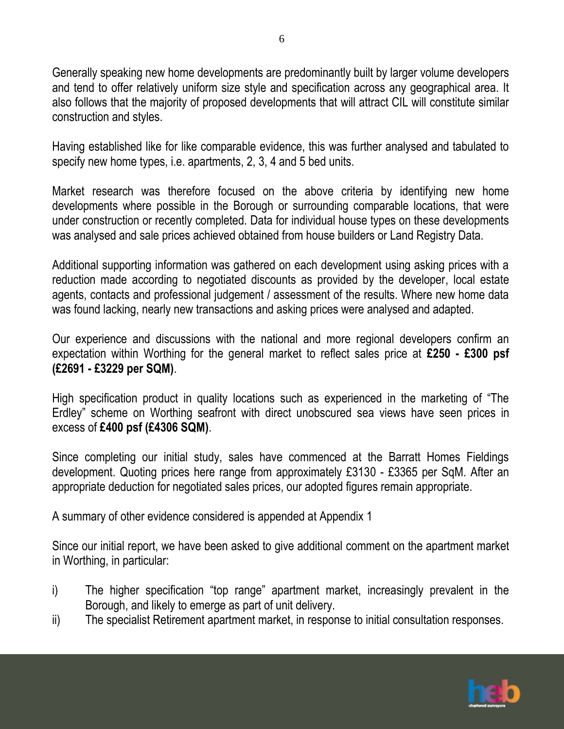Generally speaking new home developments are predominantly built by larger volume developers and tend to offer relatively uniform size style and specification across any geographical area. It also follows that the majority of proposed developments that will attract CIL will constitute similar construction and styles.

Having established like for like comparable evidence, this was further analysed and tabulated to specify new home types, i.e. apartments, 2, 3, 4 and 5 bed units.

Market research was therefore focused on the above criteria by identifying new home developments where possible in the Borough or surrounding comparable locations, that were under construction or recently completed. Data for individual house types on these developments was analysed and sale prices achieved obtained from house builders or Land Registry Data.

Additional supporting information was gathered on each development using asking prices with a reduction made according to negotiated discounts as provided by the developer, local estate agents, contacts and professional judgement / assessment of the results. Where new home data was found lacking, nearly new transactions and asking prices were analysed and adapted.

Our experience and discussions with the national and more regional developers confirm an expectation within Worthing for the general market to reflect sales price at **£250 - £300 psf (£2691 - £3229 per SQM)**.

High specification product in quality locations such as experienced in the marketing of "The Erdley" scheme on Worthing seafront with direct unobscured sea views have seen prices in excess of **£400 psf (£4306 SQM)**.

Since completing our initial study, sales have commenced at the Barratt Homes Fieldings development. Quoting prices here range from approximately £3130 - £3365 per SqM. After an appropriate deduction for negotiated sales prices, our adopted figures remain appropriate.

A summary of other evidence considered is appended at Appendix 1

Since our initial report, we have been asked to give additional comment on the apartment market in Worthing, in particular:

- i) The higher specification "top range" apartment market, increasingly prevalent in the Borough, and likely to emerge as part of unit delivery.
- ii) The specialist Retirement apartment market, in response to initial consultation responses.

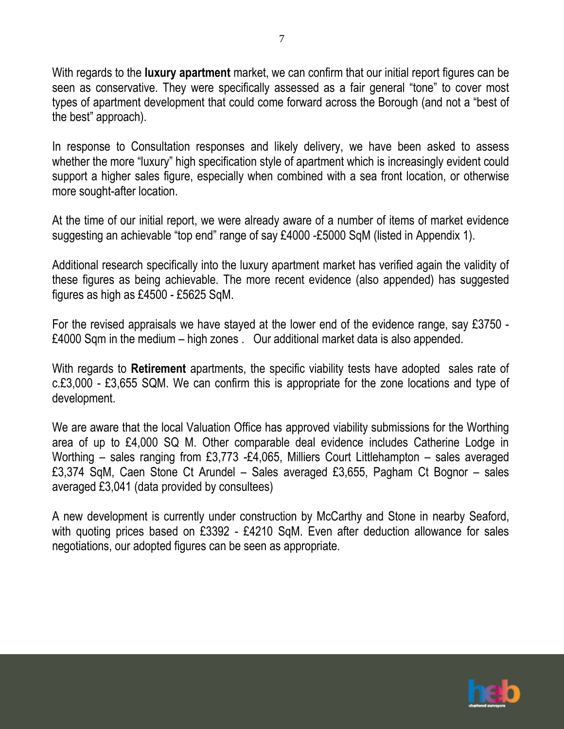With regards to the **luxury apartment** market, we can confirm that our initial report figures can be seen as conservative. They were specifically assessed as a fair general "tone" to cover most types of apartment development that could come forward across the Borough (and not a "best of the best" approach).

In response to Consultation responses and likely delivery, we have been asked to assess whether the more "luxury" high specification style of apartment which is increasingly evident could support a higher sales figure, especially when combined with a sea front location, or otherwise more sought-after location.

At the time of our initial report, we were already aware of a number of items of market evidence suggesting an achievable "top end" range of say £4000 -£5000 SqM (listed in Appendix 1).

Additional research specifically into the luxury apartment market has verified again the validity of these figures as being achievable. The more recent evidence (also appended) has suggested figures as high as £4500 - £5625 SqM.

For the revised appraisals we have stayed at the lower end of the evidence range, say £3750 - £4000 Sqm in the medium – high zones . Our additional market data is also appended.

With regards to **Retirement** apartments, the specific viability tests have adopted sales rate of c.£3,000 - £3,655 SQM. We can confirm this is appropriate for the zone locations and type of development.

We are aware that the local Valuation Office has approved viability submissions for the Worthing area of up to £4,000 SQ M. Other comparable deal evidence includes Catherine Lodge in Worthing – sales ranging from £3,773 -£4,065, Milliers Court Littlehampton – sales averaged £3,374 SqM, Caen Stone Ct Arundel – Sales averaged £3,655, Pagham Ct Bognor – sales averaged £3,041 (data provided by consultees)

A new development is currently under construction by McCarthy and Stone in nearby Seaford, with quoting prices based on £3392 - £4210 SqM. Even after deduction allowance for sales negotiations, our adopted figures can be seen as appropriate.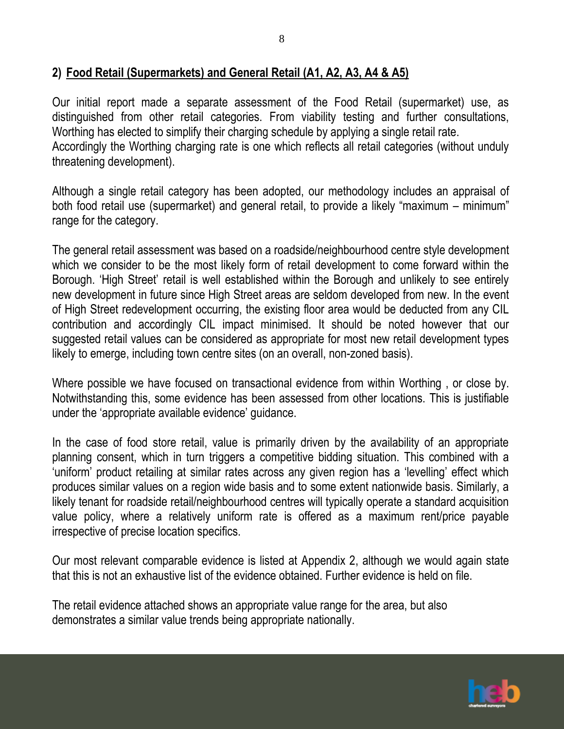### **2) Food Retail (Supermarkets) and General Retail (A1, A2, A3, A4 & A5)**

Our initial report made a separate assessment of the Food Retail (supermarket) use, as distinguished from other retail categories. From viability testing and further consultations, Worthing has elected to simplify their charging schedule by applying a single retail rate. Accordingly the Worthing charging rate is one which reflects all retail categories (without unduly threatening development).

Although a single retail category has been adopted, our methodology includes an appraisal of both food retail use (supermarket) and general retail, to provide a likely "maximum – minimum" range for the category.

The general retail assessment was based on a roadside/neighbourhood centre style development which we consider to be the most likely form of retail development to come forward within the Borough. 'High Street' retail is well established within the Borough and unlikely to see entirely new development in future since High Street areas are seldom developed from new. In the event of High Street redevelopment occurring, the existing floor area would be deducted from any CIL contribution and accordingly CIL impact minimised. It should be noted however that our suggested retail values can be considered as appropriate for most new retail development types likely to emerge, including town centre sites (on an overall, non-zoned basis).

Where possible we have focused on transactional evidence from within Worthing , or close by. Notwithstanding this, some evidence has been assessed from other locations. This is justifiable under the 'appropriate available evidence' guidance.

In the case of food store retail, value is primarily driven by the availability of an appropriate planning consent, which in turn triggers a competitive bidding situation. This combined with a 'uniform' product retailing at similar rates across any given region has a 'levelling' effect which produces similar values on a region wide basis and to some extent nationwide basis. Similarly, a likely tenant for roadside retail/neighbourhood centres will typically operate a standard acquisition value policy, where a relatively uniform rate is offered as a maximum rent/price payable irrespective of precise location specifics.

Our most relevant comparable evidence is listed at Appendix 2, although we would again state that this is not an exhaustive list of the evidence obtained. Further evidence is held on file.

The retail evidence attached shows an appropriate value range for the area, but also demonstrates a similar value trends being appropriate nationally.

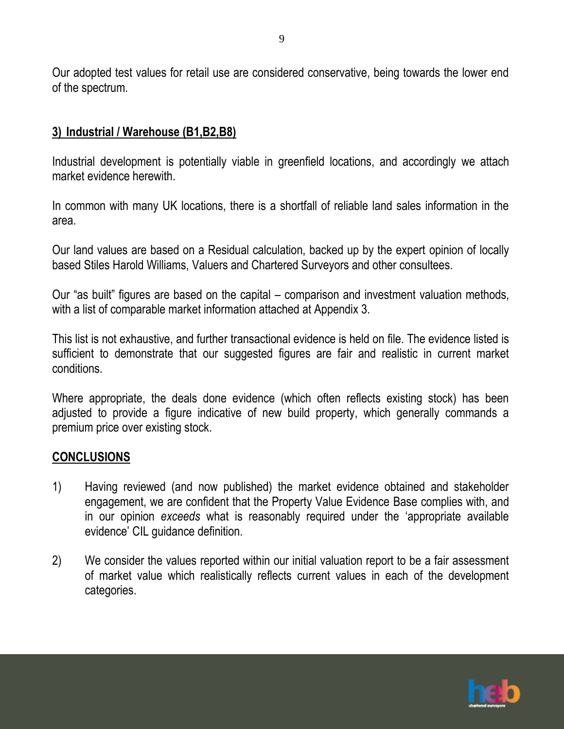Our adopted test values for retail use are considered conservative, being towards the lower end of the spectrum.

## **3) Industrial / Warehouse (B1,B2,B8)**

Industrial development is potentially viable in greenfield locations, and accordingly we attach market evidence herewith.

In common with many UK locations, there is a shortfall of reliable land sales information in the area.

Our land values are based on a Residual calculation, backed up by the expert opinion of locally based Stiles Harold Williams, Valuers and Chartered Surveyors and other consultees.

Our "as built" figures are based on the capital – comparison and investment valuation methods, with a list of comparable market information attached at Appendix 3.

This list is not exhaustive, and further transactional evidence is held on file. The evidence listed is sufficient to demonstrate that our suggested figures are fair and realistic in current market conditions.

Where appropriate, the deals done evidence (which often reflects existing stock) has been adjusted to provide a figure indicative of new build property, which generally commands a premium price over existing stock.

#### **CONCLUSIONS**

- 1) Having reviewed (and now published) the market evidence obtained and stakeholder engagement, we are confident that the Property Value Evidence Base complies with, and in our opinion *exceeds* what is reasonably required under the 'appropriate available evidence' CIL guidance definition.
- 2) We consider the values reported within our initial valuation report to be a fair assessment of market value which realistically reflects current values in each of the development categories.

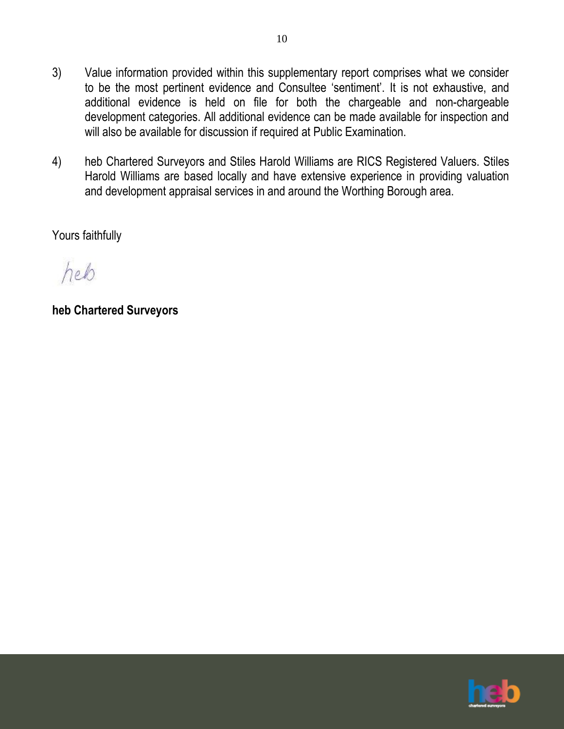3) Value information provided within this supplementary report comprises what we consider to be the most pertinent evidence and Consultee 'sentiment'. It is not exhaustive, and additional evidence is held on file for both the chargeable and non-chargeable development categories. All additional evidence can be made available for inspection and will also be available for discussion if required at Public Examination.

10

4) heb Chartered Surveyors and Stiles Harold Williams are RICS Registered Valuers. Stiles Harold Williams are based locally and have extensive experience in providing valuation and development appraisal services in and around the Worthing Borough area.

Yours faithfully

heb

**heb Chartered Surveyors**

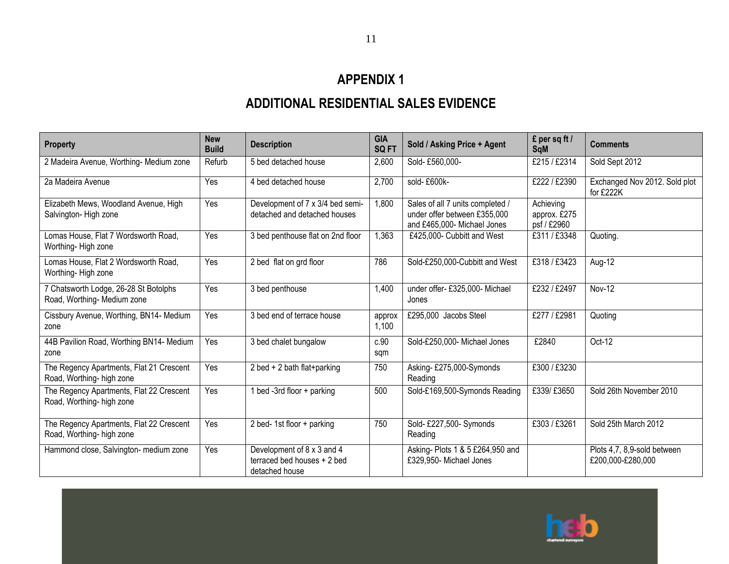# **APPENDIX 1**

# **ADDITIONAL RESIDENTIAL SALES EVIDENCE**

| <b>Property</b>                                                       | <b>New</b><br><b>Build</b> | <b>Description</b>                                                          | <b>GIA</b><br><b>SQFT</b> | Sold / Asking Price + Agent                                                                     | £ per sq ft /<br><b>SqM</b>              | <b>Comments</b>                                  |
|-----------------------------------------------------------------------|----------------------------|-----------------------------------------------------------------------------|---------------------------|-------------------------------------------------------------------------------------------------|------------------------------------------|--------------------------------------------------|
| 2 Madeira Avenue, Worthing-Medium zone                                | Refurb                     | 5 bed detached house                                                        | 2,600                     | Sold-£560,000-                                                                                  | £215 / £2314                             | Sold Sept 2012                                   |
| 2a Madeira Avenue                                                     | Yes                        | 4 bed detached house                                                        | 2,700                     | sold-£600k-                                                                                     | £222 / £2390                             | Exchanged Nov 2012. Sold plot<br>for £222K       |
| Elizabeth Mews, Woodland Avenue, High<br>Salvington-High zone         | Yes                        | Development of 7 x 3/4 bed semi-<br>detached and detached houses            | 1,800                     | Sales of all 7 units completed /<br>under offer between £355,000<br>and £465,000- Michael Jones | Achieving<br>approx. £275<br>psf / £2960 |                                                  |
| Lomas House, Flat 7 Wordsworth Road,<br>Worthing-High zone            | Yes                        | 3 bed penthouse flat on 2nd floor                                           | 1,363                     | £425,000- Cubbitt and West                                                                      | £311/£3348                               | Quoting.                                         |
| Lomas House, Flat 2 Wordsworth Road,<br>Worthing-High zone            | Yes                        | 2 bed flat on grd floor                                                     | 786                       | Sold-£250,000-Cubbitt and West                                                                  | £318 / £3423                             | Aug-12                                           |
| 7 Chatsworth Lodge, 26-28 St Botolphs<br>Road, Worthing-Medium zone   | Yes                        | 3 bed penthouse                                                             | 1,400                     | under offer- £325,000- Michael<br>Jones                                                         | £232 / £2497                             | Nov-12                                           |
| Cissbury Avenue, Worthing, BN14- Medium<br>zone                       | Yes                        | 3 bed end of terrace house                                                  | approx<br>1,100           | £295,000 Jacobs Steel                                                                           | £277 / £2981                             | Quoting                                          |
| 44B Pavilion Road, Worthing BN14- Medium<br>zone                      | Yes                        | 3 bed chalet bungalow                                                       | c.90<br>sqm               | Sold-£250,000- Michael Jones                                                                    | £2840                                    | Oct-12                                           |
| The Regency Apartments, Flat 21 Crescent<br>Road, Worthing-high zone  | Yes                        | 2 bed + 2 bath flat+parking                                                 | 750                       | Asking-£275,000-Symonds<br>Reading                                                              | £300 / £3230                             |                                                  |
| The Regency Apartments, Flat 22 Crescent<br>Road, Worthing-high zone  | Yes                        | 1 bed -3rd floor + parking                                                  | 500                       | Sold-£169,500-Symonds Reading                                                                   | £339/ £3650                              | Sold 26th November 2010                          |
| The Regency Apartments, Flat 22 Crescent<br>Road, Worthing- high zone | Yes                        | 2 bed-1st floor + parking                                                   | 750                       | Sold- £227,500- Symonds<br>Reading                                                              | £303 / £3261                             | Sold 25th March 2012                             |
| Hammond close, Salvington- medium zone                                | Yes                        | Development of 8 x 3 and 4<br>terraced bed houses + 2 bed<br>detached house |                           | Asking- Plots 1 & 5 £264,950 and<br>£329,950- Michael Jones                                     |                                          | Plots 4,7, 8,9-sold between<br>£200,000-£280,000 |

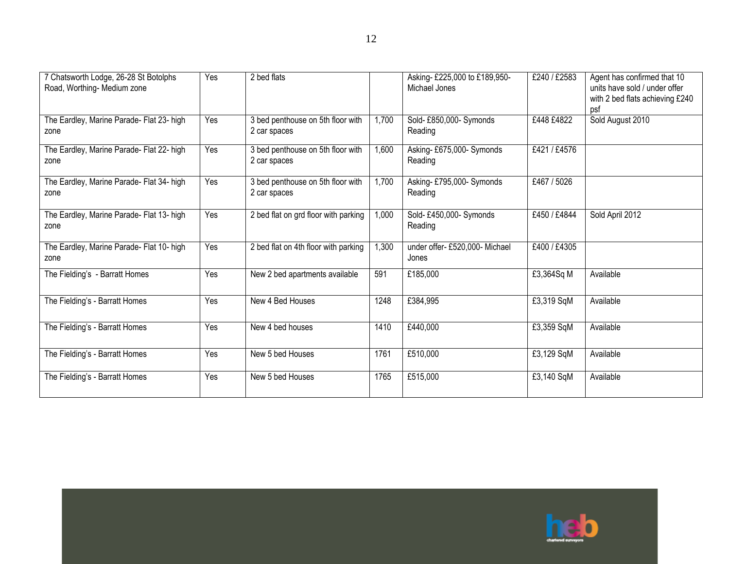| 7 Chatsworth Lodge, 26-28 St Botolphs<br>Road, Worthing- Medium zone | Yes | 2 bed flats                                       |       | Asking-£225,000 to £189,950-<br>Michael Jones | £240 / £2583 | Agent has confirmed that 10<br>units have sold / under offer<br>with 2 bed flats achieving £240<br>psf |
|----------------------------------------------------------------------|-----|---------------------------------------------------|-------|-----------------------------------------------|--------------|--------------------------------------------------------------------------------------------------------|
| The Eardley, Marine Parade- Flat 23- high<br>zone                    | Yes | 3 bed penthouse on 5th floor with<br>2 car spaces | 1,700 | Sold-£850,000-Symonds<br>Reading              | £448 £4822   | Sold August 2010                                                                                       |
| The Eardley, Marine Parade- Flat 22- high<br>zone                    | Yes | 3 bed penthouse on 5th floor with<br>2 car spaces | 1,600 | Asking- £675,000- Symonds<br>Reading          | £421 / £4576 |                                                                                                        |
| The Eardley, Marine Parade- Flat 34- high<br>zone                    | Yes | 3 bed penthouse on 5th floor with<br>2 car spaces | 1,700 | Asking-£795,000-Symonds<br>Reading            | £467 / 5026  |                                                                                                        |
| The Eardley, Marine Parade- Flat 13- high<br>zone                    | Yes | 2 bed flat on grd floor with parking              | 1,000 | Sold-£450,000-Symonds<br>Reading              | £450 / £4844 | Sold April 2012                                                                                        |
| The Eardley, Marine Parade- Flat 10- high<br>zone                    | Yes | 2 bed flat on 4th floor with parking              | 1,300 | under offer- £520,000- Michael<br>Jones       | £400 / £4305 |                                                                                                        |
| The Fielding's - Barratt Homes                                       | Yes | New 2 bed apartments available                    | 591   | £185,000                                      | £3,364Sq M   | Available                                                                                              |
| The Fielding's - Barratt Homes                                       | Yes | New 4 Bed Houses                                  | 1248  | £384,995                                      | £3,319 SqM   | Available                                                                                              |
| The Fielding's - Barratt Homes                                       | Yes | New 4 bed houses                                  | 1410  | £440,000                                      | £3,359 SqM   | Available                                                                                              |
| The Fielding's - Barratt Homes                                       | Yes | New 5 bed Houses                                  | 1761  | £510,000                                      | £3,129 SqM   | Available                                                                                              |
| The Fielding's - Barratt Homes                                       | Yes | New 5 bed Houses                                  | 1765  | £515,000                                      | £3,140 SqM   | Available                                                                                              |

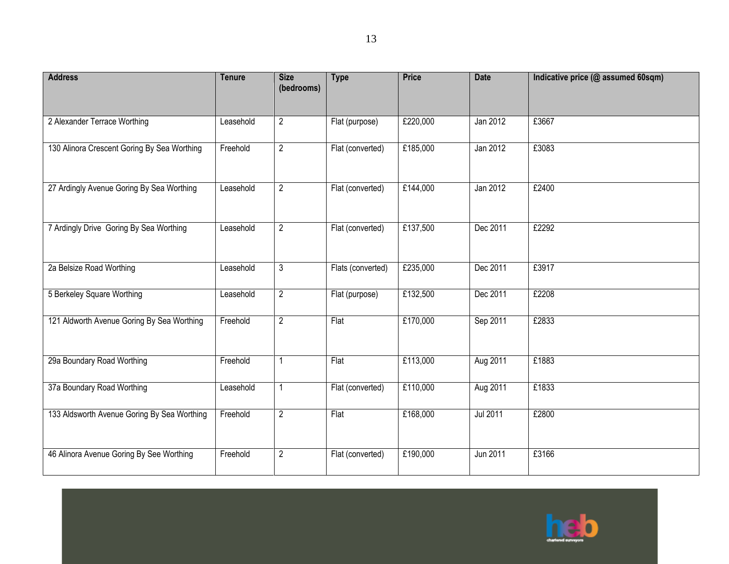| <b>Address</b>                              | <b>Tenure</b> | <b>Size</b><br>(bedrooms) | <b>Type</b>       | <b>Price</b> | <b>Date</b>     | Indicative price (@ assumed 60sqm) |
|---------------------------------------------|---------------|---------------------------|-------------------|--------------|-----------------|------------------------------------|
|                                             |               |                           |                   |              |                 |                                    |
| 2 Alexander Terrace Worthing                | Leasehold     | $\overline{2}$            | Flat (purpose)    | £220,000     | Jan 2012        | £3667                              |
| 130 Alinora Crescent Goring By Sea Worthing | Freehold      | $\overline{2}$            | Flat (converted)  | £185,000     | Jan 2012        | £3083                              |
| 27 Ardingly Avenue Goring By Sea Worthing   | Leasehold     | $\overline{2}$            | Flat (converted)  | £144,000     | Jan 2012        | £2400                              |
| 7 Ardingly Drive Goring By Sea Worthing     | Leasehold     | $\overline{2}$            | Flat (converted)  | £137,500     | Dec 2011        | £2292                              |
| 2a Belsize Road Worthing                    | Leasehold     | $\mathfrak{Z}$            | Flats (converted) | £235,000     | Dec 2011        | £3917                              |
| 5 Berkeley Square Worthing                  | Leasehold     | $\overline{2}$            | Flat (purpose)    | £132,500     | Dec 2011        | £2208                              |
| 121 Aldworth Avenue Goring By Sea Worthing  | Freehold      | $\overline{2}$            | Flat              | £170,000     | Sep 2011        | £2833                              |
| 29a Boundary Road Worthing                  | Freehold      | 1                         | Flat              | £113,000     | Aug 2011        | £1883                              |
| 37a Boundary Road Worthing                  | Leasehold     | 1                         | Flat (converted)  | £110,000     | Aug 2011        | £1833                              |
| 133 Aldsworth Avenue Goring By Sea Worthing | Freehold      | $\overline{2}$            | Flat              | £168,000     | <b>Jul 2011</b> | £2800                              |
| 46 Alinora Avenue Goring By See Worthing    | Freehold      | $\overline{2}$            | Flat (converted)  | £190,000     | Jun 2011        | £3166                              |

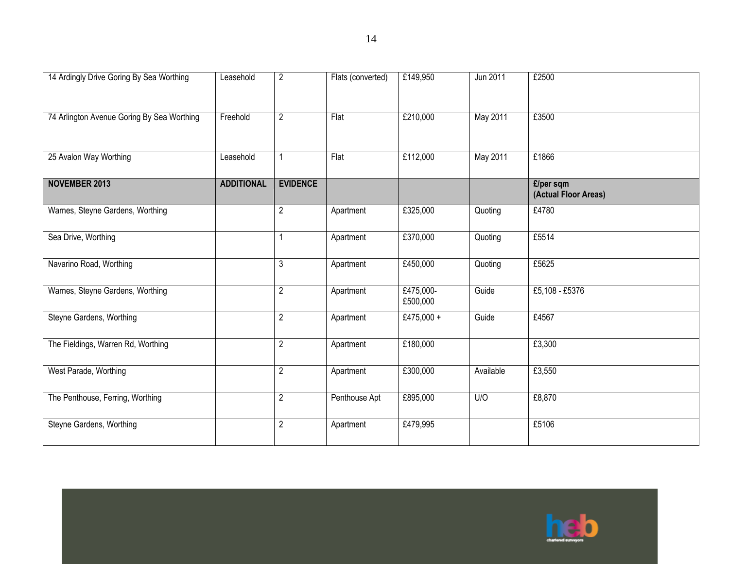| 14 Ardingly Drive Goring By Sea Worthing   | Leasehold         | $\overline{2}$  | Flats (converted) | £149,950              | Jun 2011  | £2500                             |
|--------------------------------------------|-------------------|-----------------|-------------------|-----------------------|-----------|-----------------------------------|
| 74 Arlington Avenue Goring By Sea Worthing | Freehold          | $\overline{2}$  | Flat              | £210,000              | May 2011  | £3500                             |
| 25 Avalon Way Worthing                     | Leasehold         |                 | Flat              | £112,000              | May 2011  | £1866                             |
| <b>NOVEMBER 2013</b>                       | <b>ADDITIONAL</b> | <b>EVIDENCE</b> |                   |                       |           | £/per sqm<br>(Actual Floor Areas) |
| Warnes, Steyne Gardens, Worthing           |                   | $\overline{2}$  | Apartment         | £325,000              | Quoting   | £4780                             |
| Sea Drive, Worthing                        |                   |                 | Apartment         | £370,000              | Quoting   | £5514                             |
| Navarino Road, Worthing                    |                   | 3               | Apartment         | £450,000              | Quoting   | £5625                             |
| Warnes, Steyne Gardens, Worthing           |                   | $\overline{2}$  | Apartment         | £475,000-<br>£500,000 | Guide     | £5,108 - £5376                    |
| Steyne Gardens, Worthing                   |                   | $\overline{c}$  | Apartment         | £475,000 +            | Guide     | £4567                             |
| The Fieldings, Warren Rd, Worthing         |                   | $\overline{2}$  | Apartment         | £180,000              |           | £3,300                            |
| West Parade, Worthing                      |                   | $\overline{2}$  | Apartment         | £300,000              | Available | £3,550                            |
| The Penthouse, Ferring, Worthing           |                   | $\overline{2}$  | Penthouse Apt     | £895,000              | U/O       | £8,870                            |
| Steyne Gardens, Worthing                   |                   | $\overline{2}$  | Apartment         | £479,995              |           | £5106                             |

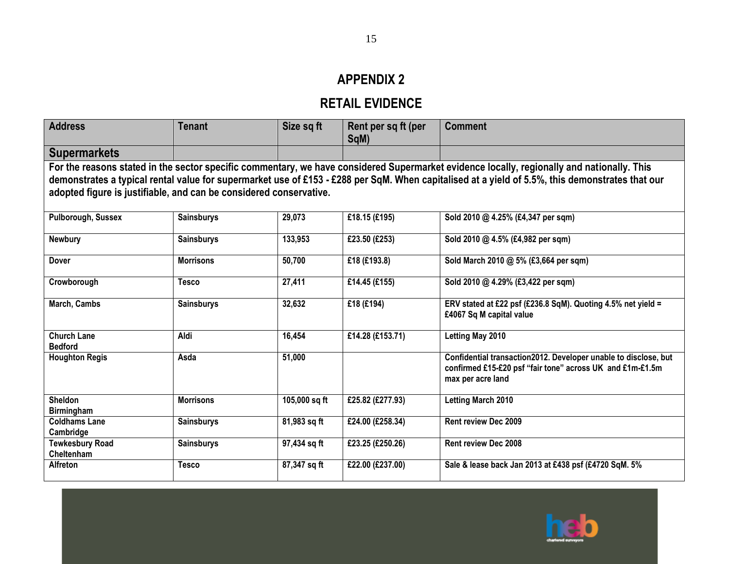# **APPENDIX 2**

# **RETAIL EVIDENCE**

| <b>Address</b>                                                     | Tenant            | Size sq ft    | Rent per sq ft (per | <b>Comment</b>                                                                                                                                  |
|--------------------------------------------------------------------|-------------------|---------------|---------------------|-------------------------------------------------------------------------------------------------------------------------------------------------|
|                                                                    |                   |               | SqM)                |                                                                                                                                                 |
| <b>Supermarkets</b>                                                |                   |               |                     |                                                                                                                                                 |
|                                                                    |                   |               |                     | For the reasons stated in the sector specific commentary, we have considered Supermarket evidence locally, regionally and nationally. This      |
|                                                                    |                   |               |                     | demonstrates a typical rental value for supermarket use of £153 - £288 per SqM. When capitalised at a yield of 5.5%, this demonstrates that our |
| adopted figure is justifiable, and can be considered conservative. |                   |               |                     |                                                                                                                                                 |
|                                                                    |                   |               |                     |                                                                                                                                                 |
| Pulborough, Sussex                                                 | <b>Sainsburys</b> | 29,073        | £18.15 (£195)       | Sold 2010 @ 4.25% (£4,347 per sqm)                                                                                                              |
|                                                                    |                   |               |                     |                                                                                                                                                 |
| <b>Newbury</b>                                                     | <b>Sainsburys</b> | 133,953       | £23.50 (£253)       | Sold 2010 @ 4.5% (£4,982 per sqm)                                                                                                               |
| <b>Dover</b>                                                       | <b>Morrisons</b>  | 50,700        | £18 (£193.8)        | Sold March 2010 @ 5% (£3,664 per sqm)                                                                                                           |
|                                                                    |                   |               |                     |                                                                                                                                                 |
| Crowborough                                                        | <b>Tesco</b>      | 27,411        | £14.45 (£155)       | Sold 2010 @ 4.29% (£3,422 per sqm)                                                                                                              |
|                                                                    |                   |               |                     |                                                                                                                                                 |
| March, Cambs                                                       | <b>Sainsburys</b> | 32,632        | £18 (£194)          | ERV stated at £22 psf (£236.8 SqM). Quoting 4.5% net yield =<br>£4067 Sq M capital value                                                        |
|                                                                    |                   |               |                     |                                                                                                                                                 |
| <b>Church Lane</b>                                                 | Aldi              | 16,454        | £14.28 (£153.71)    | Letting May 2010                                                                                                                                |
| <b>Bedford</b>                                                     |                   |               |                     |                                                                                                                                                 |
| <b>Houghton Regis</b>                                              | Asda              | 51,000        |                     | Confidential transaction2012. Developer unable to disclose, but                                                                                 |
|                                                                    |                   |               |                     | confirmed £15-£20 psf "fair tone" across UK and £1m-£1.5m<br>max per acre land                                                                  |
|                                                                    |                   |               |                     |                                                                                                                                                 |
| <b>Sheldon</b>                                                     | <b>Morrisons</b>  | 105,000 sq ft | £25.82 (£277.93)    | <b>Letting March 2010</b>                                                                                                                       |
| <b>Birmingham</b>                                                  |                   |               |                     |                                                                                                                                                 |
| <b>Coldhams Lane</b>                                               | <b>Sainsburys</b> | 81,983 sq ft  | £24.00 (£258.34)    | <b>Rent review Dec 2009</b>                                                                                                                     |
| Cambridge                                                          |                   |               |                     |                                                                                                                                                 |
| <b>Tewkesbury Road</b><br>Cheltenham                               | <b>Sainsburys</b> | 97,434 sq ft  | £23.25 (£250.26)    | <b>Rent review Dec 2008</b>                                                                                                                     |
| <b>Alfreton</b>                                                    | <b>Tesco</b>      | 87,347 sq ft  | £22.00 (£237.00)    | Sale & lease back Jan 2013 at £438 psf (£4720 SqM. 5%                                                                                           |
|                                                                    |                   |               |                     |                                                                                                                                                 |

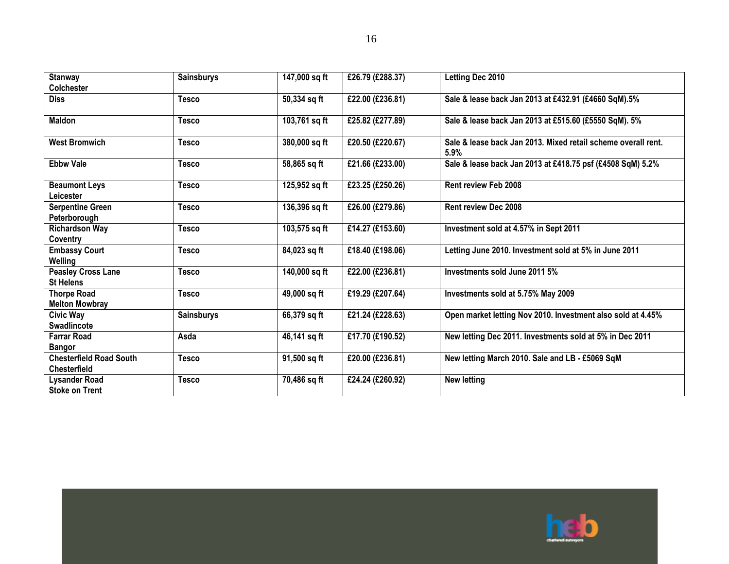| <b>Stanway</b>                          | <b>Sainsburys</b> | 147,000 sq ft | £26.79 (£288.37) | Letting Dec 2010                                                      |
|-----------------------------------------|-------------------|---------------|------------------|-----------------------------------------------------------------------|
| <b>Colchester</b>                       |                   |               |                  |                                                                       |
| <b>Diss</b>                             | <b>Tesco</b>      | 50,334 sq ft  | £22.00 (£236.81) | Sale & lease back Jan 2013 at £432.91 (£4660 SqM).5%                  |
|                                         |                   |               |                  |                                                                       |
| <b>Maldon</b>                           | <b>Tesco</b>      | 103,761 sq ft | £25.82 (£277.89) | Sale & lease back Jan 2013 at £515.60 (£5550 SqM). 5%                 |
| <b>West Bromwich</b>                    | <b>Tesco</b>      | 380,000 sq ft | £20.50 (£220.67) | Sale & lease back Jan 2013. Mixed retail scheme overall rent.<br>5.9% |
| <b>Ebbw Vale</b>                        | <b>Tesco</b>      | 58,865 sq ft  | £21.66 (£233.00) | Sale & lease back Jan 2013 at £418.75 psf (£4508 SqM) 5.2%            |
| <b>Beaumont Leys</b><br>Leicester       | <b>Tesco</b>      | 125,952 sq ft | £23.25 (£250.26) | <b>Rent review Feb 2008</b>                                           |
| <b>Serpentine Green</b><br>Peterborough | <b>Tesco</b>      | 136,396 sq ft | £26.00 (£279.86) | <b>Rent review Dec 2008</b>                                           |
| <b>Richardson Way</b>                   | <b>Tesco</b>      | 103,575 sq ft | £14.27 (£153.60) | Investment sold at 4.57% in Sept 2011                                 |
| Coventry                                |                   |               |                  |                                                                       |
| <b>Embassy Court</b>                    | <b>Tesco</b>      | 84,023 sq ft  | £18.40 (£198.06) | Letting June 2010. Investment sold at 5% in June 2011                 |
| Welling                                 |                   |               |                  |                                                                       |
| <b>Peasley Cross Lane</b>               | <b>Tesco</b>      | 140,000 sq ft | £22.00 (£236.81) | Investments sold June 2011 5%                                         |
| <b>St Helens</b>                        |                   |               |                  |                                                                       |
| <b>Thorpe Road</b>                      | <b>Tesco</b>      | 49,000 sq ft  | £19.29 (£207.64) | Investments sold at 5.75% May 2009                                    |
| <b>Melton Mowbray</b>                   |                   |               |                  |                                                                       |
| <b>Civic Way</b>                        | <b>Sainsburys</b> | 66,379 sq ft  | £21.24 (£228.63) | Open market letting Nov 2010. Investment also sold at 4.45%           |
| <b>Swadlincote</b>                      |                   |               |                  |                                                                       |
| <b>Farrar Road</b>                      | Asda              | 46,141 sq ft  | £17.70 (£190.52) | New letting Dec 2011. Investments sold at 5% in Dec 2011              |
| <b>Bangor</b>                           |                   |               |                  |                                                                       |
| <b>Chesterfield Road South</b>          | <b>Tesco</b>      | 91,500 sq ft  | £20.00 (£236.81) | New letting March 2010. Sale and LB - £5069 SqM                       |
| <b>Chesterfield</b>                     |                   |               |                  |                                                                       |
| <b>Lysander Road</b>                    | <b>Tesco</b>      | 70,486 sq ft  | £24.24 (£260.92) | <b>New letting</b>                                                    |
| <b>Stoke on Trent</b>                   |                   |               |                  |                                                                       |

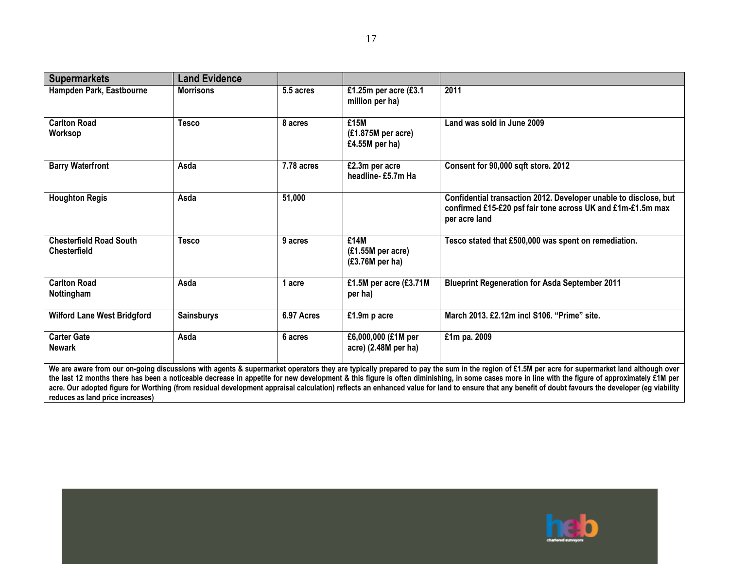| <b>Supermarkets</b>                                   | <b>Land Evidence</b> |            |                                                 |                                                                                                                                                                                                                                                                                                                                                                                                |
|-------------------------------------------------------|----------------------|------------|-------------------------------------------------|------------------------------------------------------------------------------------------------------------------------------------------------------------------------------------------------------------------------------------------------------------------------------------------------------------------------------------------------------------------------------------------------|
| Hampden Park, Eastbourne                              | <b>Morrisons</b>     | 5.5 acres  | £1.25m per acre (£3.1<br>million per ha)        | 2011                                                                                                                                                                                                                                                                                                                                                                                           |
| <b>Carlton Road</b><br><b>Worksop</b>                 | Tesco                | 8 acres    | £15M<br>$(E1.875M)$ per acre)<br>£4.55M per ha) | Land was sold in June 2009                                                                                                                                                                                                                                                                                                                                                                     |
| <b>Barry Waterfront</b>                               | Asda                 | 7.78 acres | £2.3m per acre<br>headline-£5.7m Ha             | Consent for 90,000 sqft store. 2012                                                                                                                                                                                                                                                                                                                                                            |
| <b>Houghton Regis</b>                                 | Asda                 | 51,000     |                                                 | Confidential transaction 2012. Developer unable to disclose, but<br>confirmed £15-£20 psf fair tone across UK and £1m-£1.5m max<br>per acre land                                                                                                                                                                                                                                               |
| <b>Chesterfield Road South</b><br><b>Chesterfield</b> | <b>Tesco</b>         | 9 acres    | £14M<br>(£1.55M per acre)<br>(£3.76M per ha)    | Tesco stated that £500,000 was spent on remediation.                                                                                                                                                                                                                                                                                                                                           |
| <b>Carlton Road</b><br>Nottingham                     | Asda                 | 1 acre     | £1.5M per acre (£3.71M<br>per ha)               | <b>Blueprint Regeneration for Asda September 2011</b>                                                                                                                                                                                                                                                                                                                                          |
| <b>Wilford Lane West Bridgford</b>                    | <b>Sainsburys</b>    | 6.97 Acres | £1.9m p acre                                    | March 2013. £2.12m incl S106. "Prime" site.                                                                                                                                                                                                                                                                                                                                                    |
| <b>Carter Gate</b><br><b>Newark</b>                   | Asda                 | 6 acres    | £6,000,000 (£1M per<br>acre) (2.48M per ha)     | £1m pa. 2009                                                                                                                                                                                                                                                                                                                                                                                   |
|                                                       |                      |            |                                                 | We are aware from our on-going discussions with agents & supermarket operators they are typically prepared to pay the sum in the region of £1.5M per acre for supermarket land although over<br>the last 12 months there has been a noticeable decrease in annetite for new development & this figure is often diminishing in some cases more in line with the figure of annroximately f1M per |

**the last 12 months there has been a noticeable decrease in appetite for new development & this figure is often diminishing, in some cases more in line with the figure of approximately £1M per acre. Our adopted figure for Worthing (from residual development appraisal calculation) reflects an enhanced value for land to ensure that any benefit of doubt favours the developer (eg viability reduces as land price increases)**

17

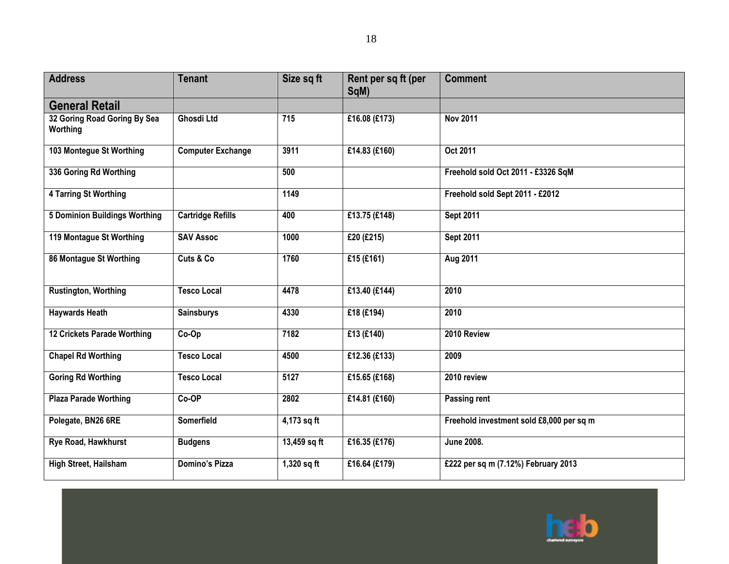| <b>Address</b>                           | <b>Tenant</b>            | Size sq ft       | Rent per sq ft (per<br>SqM) | <b>Comment</b>                           |
|------------------------------------------|--------------------------|------------------|-----------------------------|------------------------------------------|
| <b>General Retail</b>                    |                          |                  |                             |                                          |
| 32 Goring Road Goring By Sea<br>Worthing | <b>Ghosdi Ltd</b>        | 715              | £16.08 (£173)               | <b>Nov 2011</b>                          |
| 103 Montegue St Worthing                 | <b>Computer Exchange</b> | 3911             | £14.83 (£160)               | Oct 2011                                 |
| 336 Goring Rd Worthing                   |                          | 500              |                             | Freehold sold Oct 2011 - £3326 SqM       |
| <b>4 Tarring St Worthing</b>             |                          | 1149             |                             | Freehold sold Sept 2011 - £2012          |
| <b>5 Dominion Buildings Worthing</b>     | <b>Cartridge Refills</b> | 400              | £13.75 (£148)               | <b>Sept 2011</b>                         |
| 119 Montague St Worthing                 | <b>SAV Assoc</b>         | 1000             | £20 (£215)                  | <b>Sept 2011</b>                         |
| 86 Montague St Worthing                  | Cuts & Co                | 1760             | £15 $(E161)$                | Aug 2011                                 |
| <b>Rustington, Worthing</b>              | <b>Tesco Local</b>       | 4478             | £13.40 (£144)               | 2010                                     |
| <b>Haywards Heath</b>                    | <b>Sainsburys</b>        | 4330             | £18 (£194)                  | 2010                                     |
| 12 Crickets Parade Worthing              | Co-Op                    | 7182             | £13 (£140)                  | 2010 Review                              |
| <b>Chapel Rd Worthing</b>                | <b>Tesco Local</b>       | 4500             | £12.36 (£133)               | 2009                                     |
| <b>Goring Rd Worthing</b>                | <b>Tesco Local</b>       | $\frac{1}{5127}$ | £15.65 (£168)               | 2010 review                              |
| <b>Plaza Parade Worthing</b>             | Co-OP                    | 2802             | £14.81 (£160)               | Passing rent                             |
| Polegate, BN26 6RE                       | <b>Somerfield</b>        | 4,173 sq ft      |                             | Freehold investment sold £8,000 per sq m |
| Rye Road, Hawkhurst                      | <b>Budgens</b>           | 13,459 sq ft     | £16.35 (£176)               | <b>June 2008.</b>                        |
| High Street, Hailsham                    | Domino's Pizza           | $1,320$ sq ft    | £16.64 (£179)               | £222 per sq m (7.12%) February 2013      |

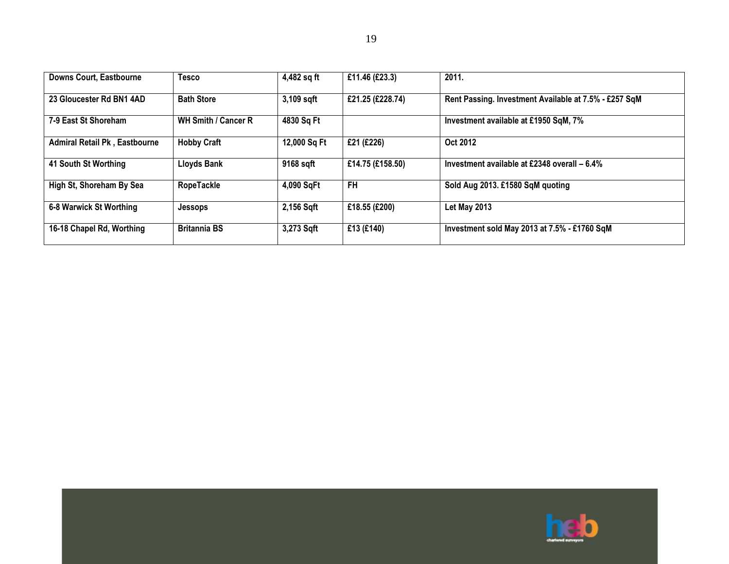| <b>Downs Court, Eastbourne</b>       | <b>Tesco</b>        | 4,482 sq ft  | £11.46 (£23.3)   | 2011.                                                 |
|--------------------------------------|---------------------|--------------|------------------|-------------------------------------------------------|
| 23 Gloucester Rd BN1 4AD             | <b>Bath Store</b>   | 3,109 sqft   | £21.25 (£228.74) | Rent Passing. Investment Available at 7.5% - £257 SqM |
| 7-9 East St Shoreham                 | WH Smith / Cancer R | 4830 Sq Ft   |                  | Investment available at £1950 SqM, 7%                 |
| <b>Admiral Retail Pk, Eastbourne</b> | <b>Hobby Craft</b>  | 12,000 Sq Ft | £21 (£226)       | Oct 2012                                              |
| 41 South St Worthing                 | <b>Lloyds Bank</b>  | 9168 sqft    | £14.75 (£158.50) | Investment available at £2348 overall - 6.4%          |
| High St, Shoreham By Sea             | RopeTackle          | 4,090 SqFt   | <b>FH</b>        | Sold Aug 2013. £1580 SqM quoting                      |
| 6-8 Warwick St Worthing              | <b>Jessops</b>      | 2,156 Sqft   | £18.55 (£200)    | Let May 2013                                          |
| 16-18 Chapel Rd, Worthing            | <b>Britannia BS</b> | 3,273 Sqft   | £13 (£140)       | Investment sold May 2013 at 7.5% - £1760 SqM          |

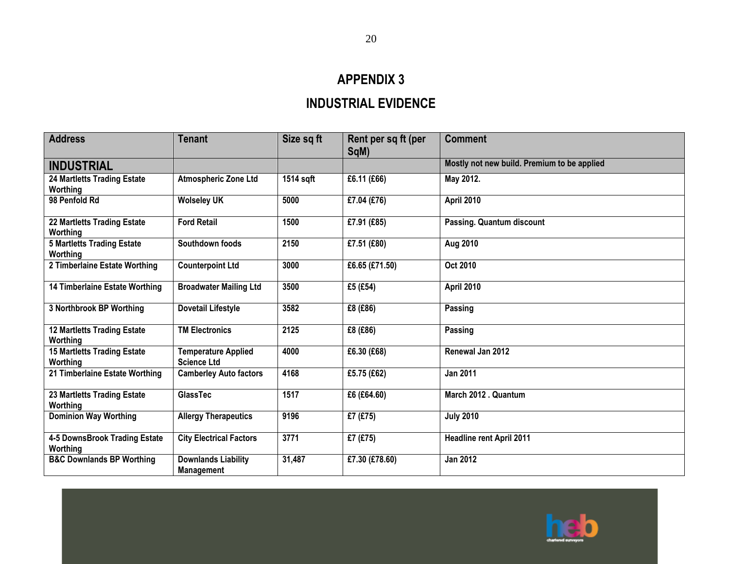# **APPENDIX 3**

# **INDUSTRIAL EVIDENCE**

| <b>Address</b>                                 | <b>Tenant</b>                                    | Size sq ft | Rent per sq ft (per<br>SqM) | <b>Comment</b>                              |
|------------------------------------------------|--------------------------------------------------|------------|-----------------------------|---------------------------------------------|
| <b>INDUSTRIAL</b>                              |                                                  |            |                             | Mostly not new build. Premium to be applied |
| <b>24 Martletts Trading Estate</b><br>Worthing | <b>Atmospheric Zone Ltd</b>                      | 1514 sqft  | £6.11 (£66)                 | May 2012.                                   |
| 98 Penfold Rd                                  | <b>Wolseley UK</b>                               | 5000       | £7.04 (£76)                 | <b>April 2010</b>                           |
| 22 Martletts Trading Estate<br>Worthing        | <b>Ford Retail</b>                               | 1500       | £7.91 (£85)                 | <b>Passing. Quantum discount</b>            |
| <b>5 Martletts Trading Estate</b><br>Worthing  | Southdown foods                                  | 2150       | £7.51 (£80)                 | Aug 2010                                    |
| 2 Timberlaine Estate Worthing                  | <b>Counterpoint Ltd</b>                          | 3000       | £6.65 (£71.50)              | Oct 2010                                    |
| 14 Timberlaine Estate Worthing                 | <b>Broadwater Mailing Ltd</b>                    | 3500       | £5 (£54)                    | <b>April 2010</b>                           |
| 3 Northbrook BP Worthing                       | <b>Dovetail Lifestyle</b>                        | 3582       | £8 (£86)                    | Passing                                     |
| <b>12 Martletts Trading Estate</b><br>Worthing | <b>TM Electronics</b>                            | 2125       | £8 (£86)                    | Passing                                     |
| <b>15 Martletts Trading Estate</b><br>Worthing | <b>Temperature Applied</b><br><b>Science Ltd</b> | 4000       | £6.30 (£68)                 | Renewal Jan 2012                            |
| 21 Timberlaine Estate Worthing                 | <b>Camberley Auto factors</b>                    | 4168       | £5.75 (£62)                 | <b>Jan 2011</b>                             |
| 23 Martletts Trading Estate<br>Worthing        | <b>GlassTec</b>                                  | 1517       | £6 (£64.60)                 | March 2012 . Quantum                        |
| <b>Dominion Way Worthing</b>                   | <b>Allergy Therapeutics</b>                      | 9196       | £7 (£75)                    | <b>July 2010</b>                            |
| 4-5 DownsBrook Trading Estate<br>Worthing      | <b>City Electrical Factors</b>                   | 3771       | £7 (£75)                    | <b>Headline rent April 2011</b>             |
| <b>B&amp;C Downlands BP Worthing</b>           | <b>Downlands Liability</b><br>Management         | 31,487     | £7.30 (£78.60)              | <b>Jan 2012</b>                             |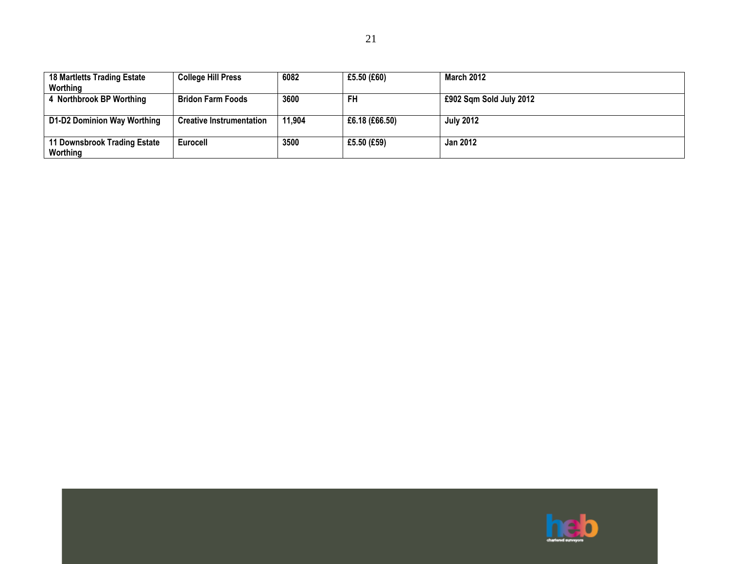| <b>18 Martletts Trading Estate</b><br>Worthing | <b>College Hill Press</b>       | 6082   | £5.50 $(E60)$  | <b>March 2012</b>       |
|------------------------------------------------|---------------------------------|--------|----------------|-------------------------|
| 4 Northbrook BP Worthing                       | <b>Bridon Farm Foods</b>        | 3600   | <b>FH</b>      | £902 Sqm Sold July 2012 |
| D1-D2 Dominion Way Worthing                    | <b>Creative Instrumentation</b> | 11,904 | £6.18 (£66.50) | <b>July 2012</b>        |
| 11 Downsbrook Trading Estate<br>Worthing       | Eurocell                        | 3500   | £5.50 (£59)    | <b>Jan 2012</b>         |